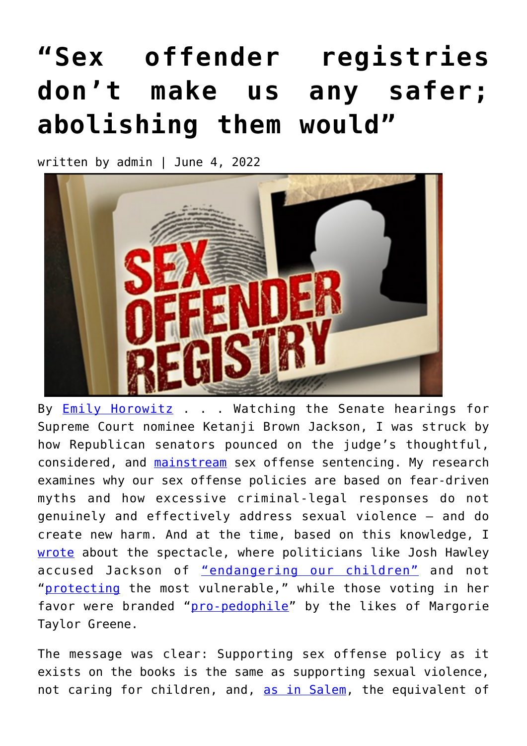## **["Sex offender registries](https://narsol.org/2022/06/sex-offender-registries-dont-make-us-any-safer-abolishing-them-would/) [don't make us any safer;](https://narsol.org/2022/06/sex-offender-registries-dont-make-us-any-safer-abolishing-them-would/) [abolishing them would"](https://narsol.org/2022/06/sex-offender-registries-dont-make-us-any-safer-abolishing-them-would/)**

written by admin | June 4, 2022



By **[Emily Horowitz](https://inquest.org/people/emily-horowitz/)** . . . Watching the Senate hearings for Supreme Court nominee Ketanji Brown Jackson, I was struck by how Republican senators pounced on the judge's thoughtful, considered, and **mainstream** sex offense sentencing. My research examines why our sex offense policies are based on fear-driven myths and how excessive criminal-legal responses do not genuinely and effectively address sexual violence — and do create new harm. And at the time, based on this knowledge, I [wrote](https://www.nydailynews.com/opinion/ny-oped-hollowness-sex-offender-smear-20220324-qefwfi4pu5fwhb3vx6e4qhtw5a-story.html) about the spectacle, where politicians like Josh Hawley accused Jackson of ["endangering our children"](https://twitter.com/HawleyMO/status/1504221927665250305?ref_src=twsrc%5Etfw%7Ctwcamp%5Etweetembed%7Ctwterm%5E1504221927665250305%7Ctwgr%5E%7Ctwcon%5Es1_&ref_url=https%3A%2F%2Fdailycaller.com%2F2022%2F03%2F17%2Falarming-pattern-josh-hawley-supreme-court-nominee-ketanji-brown-jackson-record-child-porn%2F) and not "[protecting](https://twitter.com/HawleyMO/status/1504221956857606151) the most vulnerable," while those voting in her favor were branded "[pro-pedophile](https://twitter.com/RepMTG/status/1511150070367985664)" by the likes of Margorie Taylor Greene.

The message was clear: Supporting sex offense policy as it exists on the books is the same as supporting sexual violence, not caring for children, and, [as in Salem](https://salemwitchmuseum.com/videos/guilt-by-association/), the equivalent of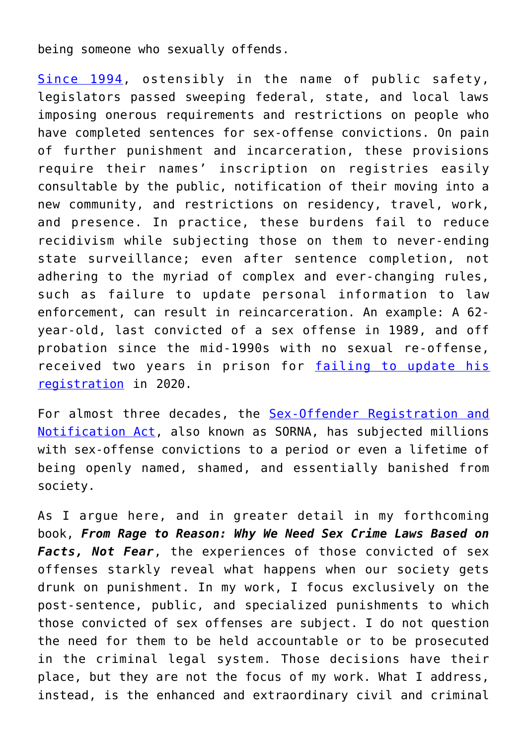being someone who sexually offends.

[Since 1994](https://smart.ojp.gov/sorna/current-law/legislative-history), ostensibly in the name of public safety, legislators passed sweeping federal, state, and local laws imposing onerous requirements and restrictions on people who have completed sentences for sex-offense convictions. On pain of further punishment and incarceration, these provisions require their names' inscription on registries easily consultable by the public, notification of their moving into a new community, and restrictions on residency, travel, work, and presence. In practice, these burdens fail to reduce recidivism while subjecting those on them to never-ending state surveillance; even after sentence completion, not adhering to the myriad of complex and ever-changing rules, such as failure to update personal information to law enforcement, can result in reincarceration. An example: A 62 year-old, last convicted of a sex offense in 1989, and off probation since the mid-1990s with no sexual re-offense, received two years in prison for [failing to update his](https://www.justice.gov/usao-sd/pr/todd-county-man-sentenced-failure-register-sex-offender-0) [registration](https://www.justice.gov/usao-sd/pr/todd-county-man-sentenced-failure-register-sex-offender-0) in 2020.

For almost three decades, the [Sex-Offender Registration and](https://smart.ojp.gov/sorna/current-law) [Notification Act,](https://smart.ojp.gov/sorna/current-law) also known as SORNA, has subjected millions with sex-offense convictions to a period or even a lifetime of being openly named, shamed, and essentially banished from society.

As I argue here, and in greater detail in my forthcoming book, *From Rage to Reason: Why We Need Sex Crime Laws Based on Facts, Not Fear*, the experiences of those convicted of sex offenses starkly reveal what happens when our society gets drunk on punishment. In my work, I focus exclusively on the post-sentence, public, and specialized punishments to which those convicted of sex offenses are subject. I do not question the need for them to be held accountable or to be prosecuted in the criminal legal system. Those decisions have their place, but they are not the focus of my work. What I address, instead, is the enhanced and extraordinary civil and criminal